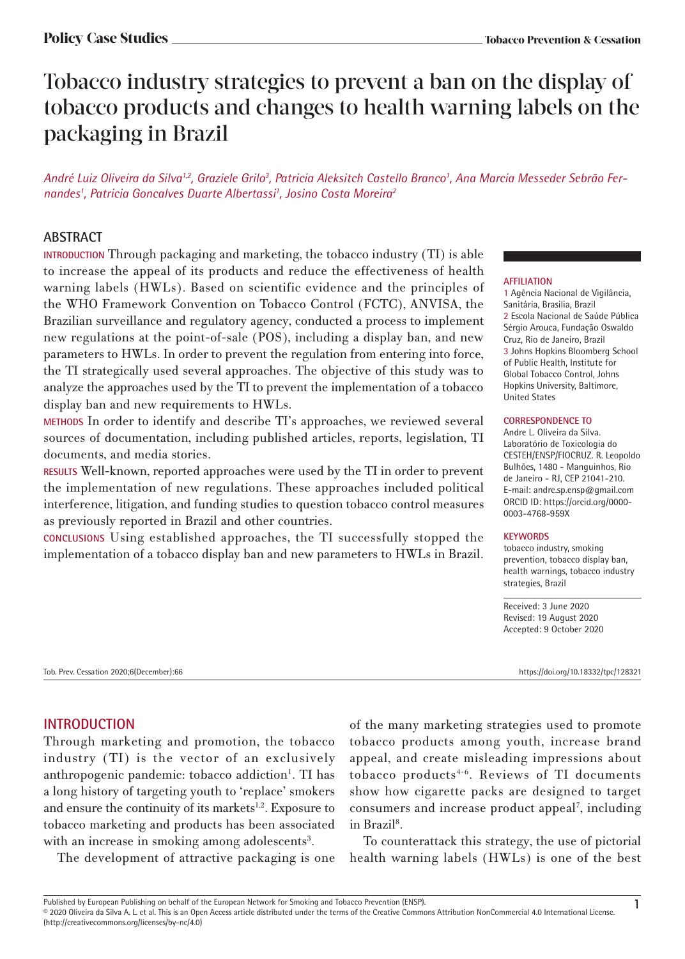# Tobacco industry strategies to prevent a ban on the display of tobacco products and changes to health warning labels on the packaging in Brazil

André Luiz Oliveira da Silva<sup>1,2</sup>, Graziele Grilo<sup>3</sup>, Patricia Aleksitch Castello Branco', Ana Marcia Messeder Sebrão Fernandes<sup>1</sup>, Patricia Goncalves Duarte Albertassi<sup>1</sup>, Josino Costa Moreira<sup>2</sup>

# **ABSTRACT**

**INTRODUCTION** Through packaging and marketing, the tobacco industry (TI) is able to increase the appeal of its products and reduce the effectiveness of health warning labels (HWLs). Based on scientific evidence and the principles of the WHO Framework Convention on Tobacco Control (FCTC), ANVISA, the Brazilian surveillance and regulatory agency, conducted a process to implement new regulations at the point-of-sale (POS), including a display ban, and new parameters to HWLs. In order to prevent the regulation from entering into force, the TI strategically used several approaches. The objective of this study was to analyze the approaches used by the TI to prevent the implementation of a tobacco display ban and new requirements to HWLs.

**METHODS** In order to identify and describe TI's approaches, we reviewed several sources of documentation, including published articles, reports, legislation, TI documents, and media stories.

**RESULTS** Well-known, reported approaches were used by the TI in order to prevent the implementation of new regulations. These approaches included political interference, litigation, and funding studies to question tobacco control measures as previously reported in Brazil and other countries.

**CONCLUSIONS** Using established approaches, the TI successfully stopped the implementation of a tobacco display ban and new parameters to HWLs in Brazil.

### **AFFILIATION**

1 Agência Nacional de Vigilância, Sanitária, Brasilia, Brazil 2 Escola Nacional de Saúde Pública Sérgio Arouca, Fundação Oswaldo Cruz, Rio de Janeiro, Brazil 3 Johns Hopkins Bloomberg School of Public Health, Institute for Global Tobacco Control, Johns Hopkins University, Baltimore, United States

#### **CORRESPONDENCE TO**

Andre L. Oliveira da Silva. Laboratório de Toxicologia do CESTEH/ENSP/FIOCRUZ. R. Leopoldo Bulhões, 1480 - Manguinhos, Rio de Janeiro - RJ, CEP 21041-210. E-mail: andre.sp.ensp@gmail.com ORCID ID: https://orcid.org/0000- 0003-4768-959X

### **KEYWORDS**

tobacco industry, smoking prevention, tobacco display ban, health warnings, tobacco industry strategies, Brazil

Received: 3 June 2020 Revised: 19 August 2020 Accepted: 9 October 2020

Tob. Prev. Cessation 2020;6(December):66 https://doi.org/10.18332/tpc/128321

# **INTRODUCTION**

Through marketing and promotion, the tobacco industry (TI) is the vector of an exclusively anthropogenic pandemic: tobacco addiction<sup>1</sup>. TI has a long history of targeting youth to 'replace' smokers and ensure the continuity of its markets $1,2$ . Exposure to tobacco marketing and products has been associated with an increase in smoking among adolescents<sup>3</sup>.

The development of attractive packaging is one

of the many marketing strategies used to promote tobacco products among youth, increase brand appeal, and create misleading impressions about tobacco products4-6. Reviews of TI documents show how cigarette packs are designed to target consumers and increase product appeal<sup>7</sup>, including in Brazil<sup>8</sup>.

To counterattack this strategy, the use of pictorial health warning labels (HWLs) is one of the best

Published by European Publishing on behalf of the European Network for Smoking and Tobacco Prevention (ENSP).<br>© 2020 Oliveira da Silva A. L. et al. This is an Open Access article distributed under the terms of the Creative

<sup>(</sup>http://creativecommons.org/licenses/by-nc/4.0)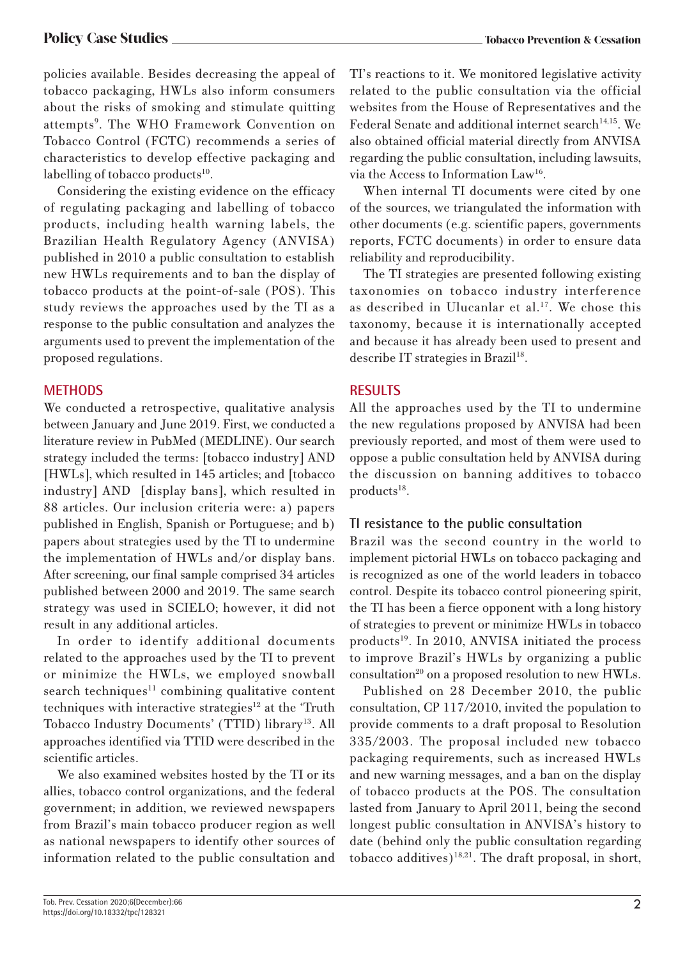policies available. Besides decreasing the appeal of tobacco packaging, HWLs also inform consumers about the risks of smoking and stimulate quitting attempts<sup>9</sup>. The WHO Framework Convention on Tobacco Control (FCTC) recommends a series of characteristics to develop effective packaging and labelling of tobacco products $10$ .

Considering the existing evidence on the efficacy of regulating packaging and labelling of tobacco products, including health warning labels, the Brazilian Health Regulatory Agency (ANVISA) published in 2010 a public consultation to establish new HWLs requirements and to ban the display of tobacco products at the point-of-sale (POS). This study reviews the approaches used by the TI as a response to the public consultation and analyzes the arguments used to prevent the implementation of the proposed regulations.

# **METHODS**

We conducted a retrospective, qualitative analysis between January and June 2019. First, we conducted a literature review in PubMed (MEDLINE). Our search strategy included the terms: [tobacco industry] AND [HWLs], which resulted in 145 articles; and [tobacco industry] AND [display bans], which resulted in 88 articles. Our inclusion criteria were: a) papers published in English, Spanish or Portuguese; and b) papers about strategies used by the TI to undermine the implementation of HWLs and/or display bans. After screening, our final sample comprised 34 articles published between 2000 and 2019. The same search strategy was used in SCIELO; however, it did not result in any additional articles.

In order to identify additional documents related to the approaches used by the TI to prevent or minimize the HWLs, we employed snowball  $search techniques<sup>11</sup> combining qualitative content$ techniques with interactive strategies<sup>12</sup> at the 'Truth Tobacco Industry Documents' (TTID) library<sup>13</sup>. All approaches identified via TTID were described in the scientific articles.

We also examined websites hosted by the TI or its allies, tobacco control organizations, and the federal government; in addition, we reviewed newspapers from Brazil's main tobacco producer region as well as national newspapers to identify other sources of information related to the public consultation and TI's reactions to it. We monitored legislative activity related to the public consultation via the official websites from the House of Representatives and the Federal Senate and additional internet search<sup>14,15</sup>. We also obtained official material directly from ANVISA regarding the public consultation, including lawsuits, via the Access to Information Law16.

When internal TI documents were cited by one of the sources, we triangulated the information with other documents (e.g. scientific papers, governments reports, FCTC documents) in order to ensure data reliability and reproducibility.

The TI strategies are presented following existing taxonomies on tobacco industry interference as described in Ulucanlar et al.<sup>17</sup>. We chose this taxonomy, because it is internationally accepted and because it has already been used to present and describe IT strategies in Brazil<sup>18</sup>.

# **RESULTS**

All the approaches used by the TI to undermine the new regulations proposed by ANVISA had been previously reported, and most of them were used to oppose a public consultation held by ANVISA during the discussion on banning additives to tobacco  $products<sup>18</sup>$ .

# **TI resistance to the public consultation**

Brazil was the second country in the world to implement pictorial HWLs on tobacco packaging and is recognized as one of the world leaders in tobacco control. Despite its tobacco control pioneering spirit, the TI has been a fierce opponent with a long history of strategies to prevent or minimize HWLs in tobacco  $products<sup>19</sup>$ . In 2010, ANVISA initiated the process to improve Brazil's HWLs by organizing a public consultation<sup>20</sup> on a proposed resolution to new HWLs.

Published on 28 December 2010, the public consultation, CP 117/2010, invited the population to provide comments to a draft proposal to Resolution 335/2003. The proposal included new tobacco packaging requirements, such as increased HWLs and new warning messages, and a ban on the display of tobacco products at the POS. The consultation lasted from January to April 2011, being the second longest public consultation in ANVISA's history to date (behind only the public consultation regarding tobacco additives)<sup>18,21</sup>. The draft proposal, in short,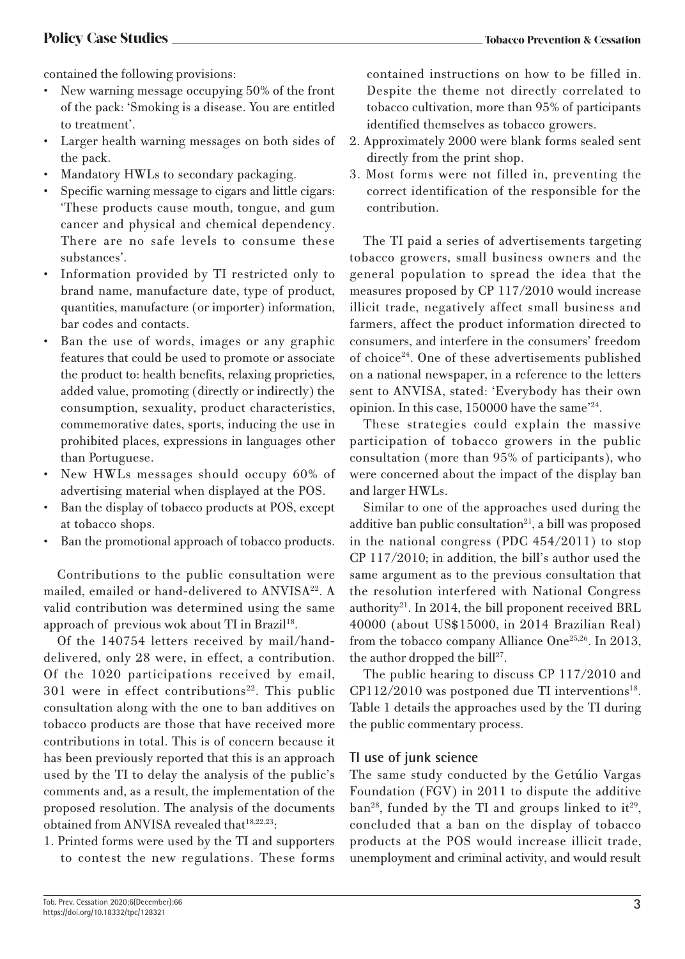contained the following provisions:

- New warning message occupying 50% of the front of the pack: 'Smoking is a disease. You are entitled to treatment'.
- Larger health warning messages on both sides of the pack.
- Mandatory HWLs to secondary packaging.
- Specific warning message to cigars and little cigars: 'These products cause mouth, tongue, and gum cancer and physical and chemical dependency. There are no safe levels to consume these substances'.
- Information provided by TI restricted only to brand name, manufacture date, type of product, quantities, manufacture (or importer) information, bar codes and contacts.
- Ban the use of words, images or any graphic features that could be used to promote or associate the product to: health benefits, relaxing proprieties, added value, promoting (directly or indirectly) the consumption, sexuality, product characteristics, commemorative dates, sports, inducing the use in prohibited places, expressions in languages other than Portuguese.
- New HWLs messages should occupy 60% of advertising material when displayed at the POS.
- Ban the display of tobacco products at POS, except at tobacco shops.
- Ban the promotional approach of tobacco products.

Contributions to the public consultation were mailed, emailed or hand-delivered to ANVISA<sup>22</sup>. A valid contribution was determined using the same approach of previous wok about TI in Brazil<sup>18</sup>.

Of the 140754 letters received by mail/handdelivered, only 28 were, in effect, a contribution. Of the 1020 participations received by email,  $301$  were in effect contributions<sup>22</sup>. This public consultation along with the one to ban additives on tobacco products are those that have received more contributions in total. This is of concern because it has been previously reported that this is an approach used by the TI to delay the analysis of the public's comments and, as a result, the implementation of the proposed resolution. The analysis of the documents obtained from ANVISA revealed that<sup>18,22,23</sup>:

1. Printed forms were used by the TI and supporters to contest the new regulations. These forms contained instructions on how to be filled in. Despite the theme not directly correlated to tobacco cultivation, more than 95% of participants identified themselves as tobacco growers.

- 2. Approximately 2000 were blank forms sealed sent directly from the print shop.
- 3. Most forms were not filled in, preventing the correct identification of the responsible for the contribution.

The TI paid a series of advertisements targeting tobacco growers, small business owners and the general population to spread the idea that the measures proposed by CP 117/2010 would increase illicit trade, negatively affect small business and farmers, affect the product information directed to consumers, and interfere in the consumers' freedom of choice24. One of these advertisements published on a national newspaper, in a reference to the letters sent to ANVISA, stated: 'Everybody has their own opinion. In this case, 150000 have the same'24.

These strategies could explain the massive participation of tobacco growers in the public consultation (more than 95% of participants), who were concerned about the impact of the display ban and larger HWLs.

Similar to one of the approaches used during the additive ban public consultation $21$ , a bill was proposed in the national congress (PDC 454/2011) to stop CP 117/2010; in addition, the bill's author used the same argument as to the previous consultation that the resolution interfered with National Congress authority<sup>21</sup>. In 2014, the bill proponent received BRL 40000 (about US\$15000, in 2014 Brazilian Real) from the tobacco company Alliance One<sup>25,26</sup>. In 2013, the author dropped the bill<sup>27</sup>.

The public hearing to discuss CP 117/2010 and  $CP112/2010$  was postponed due TI interventions<sup>18</sup>. Table 1 details the approaches used by the TI during the public commentary process.

# **TI use of junk science**

The same study conducted by the Getúlio Vargas Foundation (FGV) in 2011 to dispute the additive ban<sup>28</sup>, funded by the TI and groups linked to it<sup>29</sup>, concluded that a ban on the display of tobacco products at the POS would increase illicit trade, unemployment and criminal activity, and would result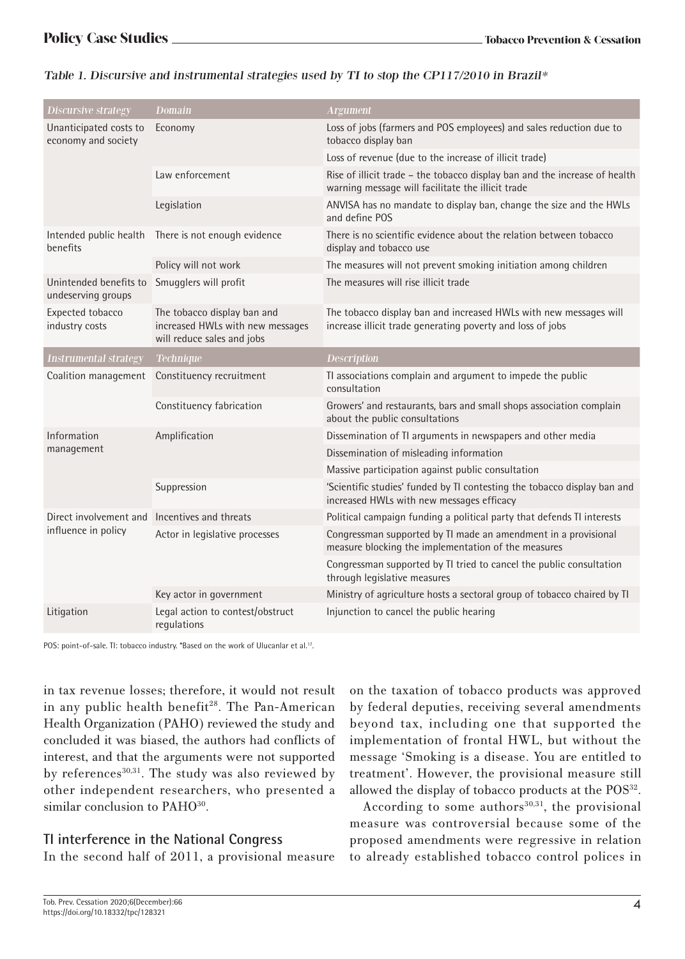| <b>Discursive strategy</b>                    | <b>Domain</b>                                                                                 | <b>Argument</b>                                                                                                                 |
|-----------------------------------------------|-----------------------------------------------------------------------------------------------|---------------------------------------------------------------------------------------------------------------------------------|
| Unanticipated costs to<br>economy and society | Economy                                                                                       | Loss of jobs (farmers and POS employees) and sales reduction due to<br>tobacco display ban                                      |
|                                               |                                                                                               | Loss of revenue (due to the increase of illicit trade)                                                                          |
|                                               | Law enforcement                                                                               | Rise of illicit trade – the tobacco display ban and the increase of health<br>warning message will facilitate the illicit trade |
|                                               | Legislation                                                                                   | ANVISA has no mandate to display ban, change the size and the HWLs<br>and define POS                                            |
| Intended public health<br>benefits            | There is not enough evidence                                                                  | There is no scientific evidence about the relation between tobacco<br>display and tobacco use                                   |
|                                               | Policy will not work                                                                          | The measures will not prevent smoking initiation among children                                                                 |
| Unintended benefits to<br>undeserving groups  | Smugglers will profit                                                                         | The measures will rise illicit trade                                                                                            |
| Expected tobacco<br>industry costs            | The tobacco display ban and<br>increased HWLs with new messages<br>will reduce sales and jobs | The tobacco display ban and increased HWLs with new messages will<br>increase illicit trade generating poverty and loss of jobs |
| <b>Instrumental strategy</b>                  | <b>Technique</b>                                                                              | <b>Description</b>                                                                                                              |
| Coalition management                          | Constituency recruitment                                                                      | Tl associations complain and argument to impede the public<br>consultation                                                      |
|                                               | Constituency fabrication                                                                      | Growers' and restaurants, bars and small shops association complain<br>about the public consultations                           |
| Information<br>management                     | Amplification                                                                                 | Dissemination of TI arguments in newspapers and other media                                                                     |
|                                               |                                                                                               | Dissemination of misleading information                                                                                         |
|                                               |                                                                                               | Massive participation against public consultation                                                                               |
|                                               | Suppression                                                                                   | 'Scientific studies' funded by TI contesting the tobacco display ban and<br>increased HWLs with new messages efficacy           |
| Direct involvement and<br>influence in policy | Incentives and threats                                                                        | Political campaign funding a political party that defends TI interests                                                          |
|                                               | Actor in legislative processes                                                                | Congressman supported by TI made an amendment in a provisional<br>measure blocking the implementation of the measures           |
|                                               |                                                                                               | Congressman supported by TI tried to cancel the public consultation<br>through legislative measures                             |
|                                               | Key actor in government                                                                       | Ministry of agriculture hosts a sectoral group of tobacco chaired by TI                                                         |
| Litigation                                    | Legal action to contest/obstruct<br>regulations                                               | Injunction to cancel the public hearing                                                                                         |

# Table 1. Discursive and instrumental strategies used by TI to stop the CP117/2010 in Brazil\*

POS: point-of-sale. TI: tobacco industry. \*Based on the work of Ulucanlar et al.<sup>17</sup>.

in tax revenue losses; therefore, it would not result in any public health benefit<sup>28</sup>. The Pan-American Health Organization (PAHO) reviewed the study and concluded it was biased, the authors had conflicts of interest, and that the arguments were not supported by references $30,31$ . The study was also reviewed by other independent researchers, who presented a similar conclusion to PAHO<sup>30</sup>.

# **TI interference in the National Congress**

In the second half of 2011, a provisional measure

on the taxation of tobacco products was approved by federal deputies, receiving several amendments beyond tax, including one that supported the implementation of frontal HWL, but without the message 'Smoking is a disease. You are entitled to treatment'. However, the provisional measure still allowed the display of tobacco products at the POS<sup>32</sup>.

According to some authors $30,31$ , the provisional measure was controversial because some of the proposed amendments were regressive in relation to already established tobacco control polices in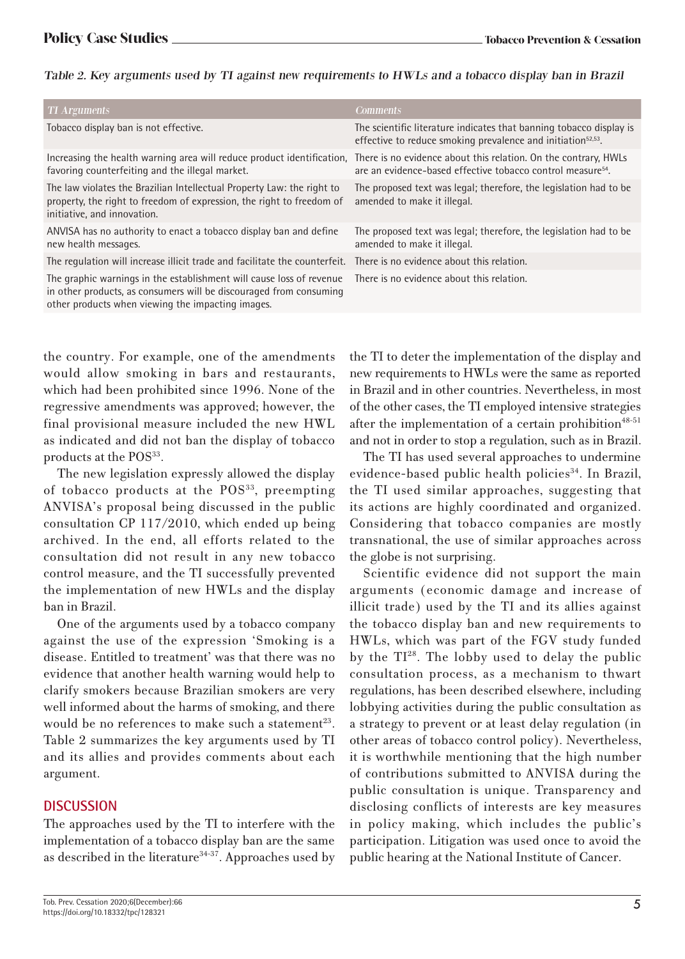### Table 2. Key arguments used by TI against new requirements to HWLs and a tobacco display ban in Brazil

| <b>TI Arguments</b>                                                                                                                                                                             | <b>Comments</b>                                                                                                                                 |
|-------------------------------------------------------------------------------------------------------------------------------------------------------------------------------------------------|-------------------------------------------------------------------------------------------------------------------------------------------------|
| Tobacco display ban is not effective.                                                                                                                                                           | The scientific literature indicates that banning tobacco display is<br>effective to reduce smoking prevalence and initiation <sup>52,53</sup> . |
| Increasing the health warning area will reduce product identification. There is no evidence about this relation. On the contrary, HWLs<br>favoring counterfeiting and the illegal market.       | are an evidence-based effective tobacco control measure <sup>54</sup> .                                                                         |
| The law violates the Brazilian Intellectual Property Law: the right to<br>property, the right to freedom of expression, the right to freedom of<br>initiative, and innovation.                  | The proposed text was legal; therefore, the legislation had to be<br>amended to make it illegal.                                                |
| ANVISA has no authority to enact a tobacco display ban and define<br>new health messages.                                                                                                       | The proposed text was legal; therefore, the legislation had to be<br>amended to make it illegal.                                                |
| The regulation will increase illicit trade and facilitate the counterfeit.                                                                                                                      | There is no evidence about this relation.                                                                                                       |
| The graphic warnings in the establishment will cause loss of revenue<br>in other products, as consumers will be discouraged from consuming<br>other products when viewing the impacting images. | There is no evidence about this relation.                                                                                                       |

the country. For example, one of the amendments would allow smoking in bars and restaurants, which had been prohibited since 1996. None of the regressive amendments was approved; however, the final provisional measure included the new HWL as indicated and did not ban the display of tobacco products at the POS<sup>33</sup>.

The new legislation expressly allowed the display of tobacco products at the POS<sup>33</sup>, preempting ANVISA's proposal being discussed in the public consultation CP 117/2010, which ended up being archived. In the end, all efforts related to the consultation did not result in any new tobacco control measure, and the TI successfully prevented the implementation of new HWLs and the display ban in Brazil.

One of the arguments used by a tobacco company against the use of the expression 'Smoking is a disease. Entitled to treatment' was that there was no evidence that another health warning would help to clarify smokers because Brazilian smokers are very well informed about the harms of smoking, and there would be no references to make such a statement<sup>23</sup>. Table 2 summarizes the key arguments used by TI and its allies and provides comments about each argument.

# **DISCUSSION**

The approaches used by the TI to interfere with the implementation of a tobacco display ban are the same as described in the literature<sup>34-37</sup>. Approaches used by the TI to deter the implementation of the display and new requirements to HWLs were the same as reported in Brazil and in other countries. Nevertheless, in most of the other cases, the TI employed intensive strategies after the implementation of a certain prohibition $48-51$ and not in order to stop a regulation, such as in Brazil.

The TI has used several approaches to undermine evidence-based public health policies<sup>34</sup>. In Brazil, the TI used similar approaches, suggesting that its actions are highly coordinated and organized. Considering that tobacco companies are mostly transnational, the use of similar approaches across the globe is not surprising.

Scientific evidence did not support the main arguments (economic damage and increase of illicit trade) used by the TI and its allies against the tobacco display ban and new requirements to HWLs, which was part of the FGV study funded by the  $TI^{28}$ . The lobby used to delay the public consultation process, as a mechanism to thwart regulations, has been described elsewhere, including lobbying activities during the public consultation as a strategy to prevent or at least delay regulation (in other areas of tobacco control policy). Nevertheless, it is worthwhile mentioning that the high number of contributions submitted to ANVISA during the public consultation is unique. Transparency and disclosing conflicts of interests are key measures in policy making, which includes the public's participation. Litigation was used once to avoid the public hearing at the National Institute of Cancer.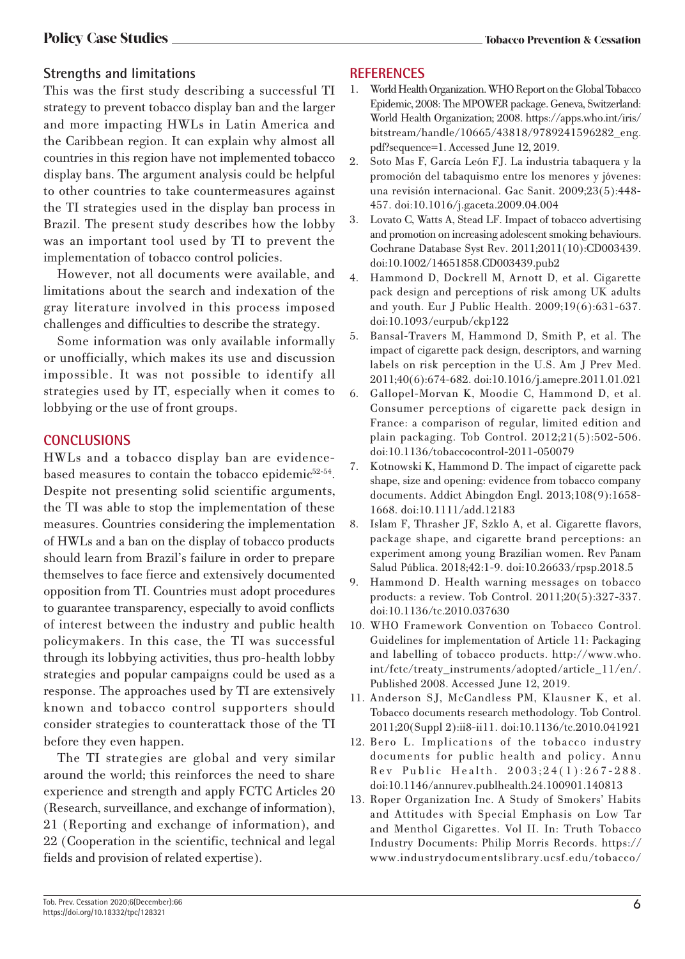# **Strengths and limitations**

This was the first study describing a successful TI strategy to prevent tobacco display ban and the larger and more impacting HWLs in Latin America and the Caribbean region. It can explain why almost all countries in this region have not implemented tobacco display bans. The argument analysis could be helpful to other countries to take countermeasures against the TI strategies used in the display ban process in Brazil. The present study describes how the lobby was an important tool used by TI to prevent the implementation of tobacco control policies.

However, not all documents were available, and limitations about the search and indexation of the gray literature involved in this process imposed challenges and difficulties to describe the strategy.

Some information was only available informally or unofficially, which makes its use and discussion impossible. It was not possible to identify all strategies used by IT, especially when it comes to lobbying or the use of front groups.

# **CONCLUSIONS**

HWLs and a tobacco display ban are evidencebased measures to contain the tobacco epidemic<sup>52-54</sup>. Despite not presenting solid scientific arguments, the TI was able to stop the implementation of these measures. Countries considering the implementation of HWLs and a ban on the display of tobacco products should learn from Brazil's failure in order to prepare themselves to face fierce and extensively documented opposition from TI. Countries must adopt procedures to guarantee transparency, especially to avoid conflicts of interest between the industry and public health policymakers. In this case, the TI was successful through its lobbying activities, thus pro-health lobby strategies and popular campaigns could be used as a response. The approaches used by TI are extensively known and tobacco control supporters should consider strategies to counterattack those of the TI before they even happen.

The TI strategies are global and very similar around the world; this reinforces the need to share experience and strength and apply FCTC Articles 20 (Research, surveillance, and exchange of information), 21 (Reporting and exchange of information), and 22 (Cooperation in the scientific, technical and legal fields and provision of related expertise).

# **REFERENCES**

- 1. World Health Organization. WHO Report on the Global Tobacco Epidemic, 2008: The MPOWER package. Geneva, Switzerland: World Health Organization; 2008. https://apps.who.int/iris/ bitstream/handle/10665/43818/9789241596282\_eng. pdf?sequence=1. Accessed June 12, 2019.
- 2. Soto Mas F, García León FJ. La industria tabaquera y la promoción del tabaquismo entre los menores y jóvenes: una revisión internacional. Gac Sanit. 2009;23(5):448- 457. doi:10.1016/j.gaceta.2009.04.004
- 3. Lovato C, Watts A, Stead LF. Impact of tobacco advertising and promotion on increasing adolescent smoking behaviours. Cochrane Database Syst Rev. 2011;2011(10):CD003439. doi:10.1002/14651858.CD003439.pub2
- 4. Hammond D, Dockrell M, Arnott D, et al. Cigarette pack design and perceptions of risk among UK adults and youth. Eur J Public Health. 2009;19(6):631-637. doi:10.1093/eurpub/ckp122
- 5. Bansal-Travers M, Hammond D, Smith P, et al. The impact of cigarette pack design, descriptors, and warning labels on risk perception in the U.S. Am J Prev Med. 2011;40(6):674-682. doi:10.1016/j.amepre.2011.01.021
- 6. Gallopel-Morvan K, Moodie C, Hammond D, et al. Consumer perceptions of cigarette pack design in France: a comparison of regular, limited edition and plain packaging. Tob Control. 2012;21(5):502-506. doi:10.1136/tobaccocontrol-2011-050079
- 7. Kotnowski K, Hammond D. The impact of cigarette pack shape, size and opening: evidence from tobacco company documents. Addict Abingdon Engl. 2013;108(9):1658- 1668. doi:10.1111/add.12183
- 8. Islam F, Thrasher JF, Szklo A, et al. Cigarette flavors, package shape, and cigarette brand perceptions: an experiment among young Brazilian women. Rev Panam Salud Pública. 2018;42:1-9. doi:10.26633/rpsp.2018.5
- 9. Hammond D. Health warning messages on tobacco products: a review. Tob Control. 2011;20(5):327-337. doi:10.1136/tc.2010.037630
- 10. WHO Framework Convention on Tobacco Control. Guidelines for implementation of Article 11: Packaging and labelling of tobacco products. http://www.who. int/fctc/treaty\_instruments/adopted/article\_11/en/. Published 2008. Accessed June 12, 2019.
- 11. Anderson SJ, McCandless PM, Klausner K, et al. Tobacco documents research methodology. Tob Control. 2011;20(Suppl 2):ii8-ii11. doi:10.1136/tc.2010.041921
- 12. Bero L. Implications of the tobacco industry documents for public health and policy. Annu Rev Public Health. 2003;24(1):267-288. doi:10.1146/annurev.publhealth.24.100901.140813
- 13. Roper Organization Inc. A Study of Smokers' Habits and Attitudes with Special Emphasis on Low Tar and Menthol Cigarettes. Vol II. In: Truth Tobacco Industry Documents: Philip Morris Records. https:// www.industrydocumentslibrary.ucsf.edu/tobacco/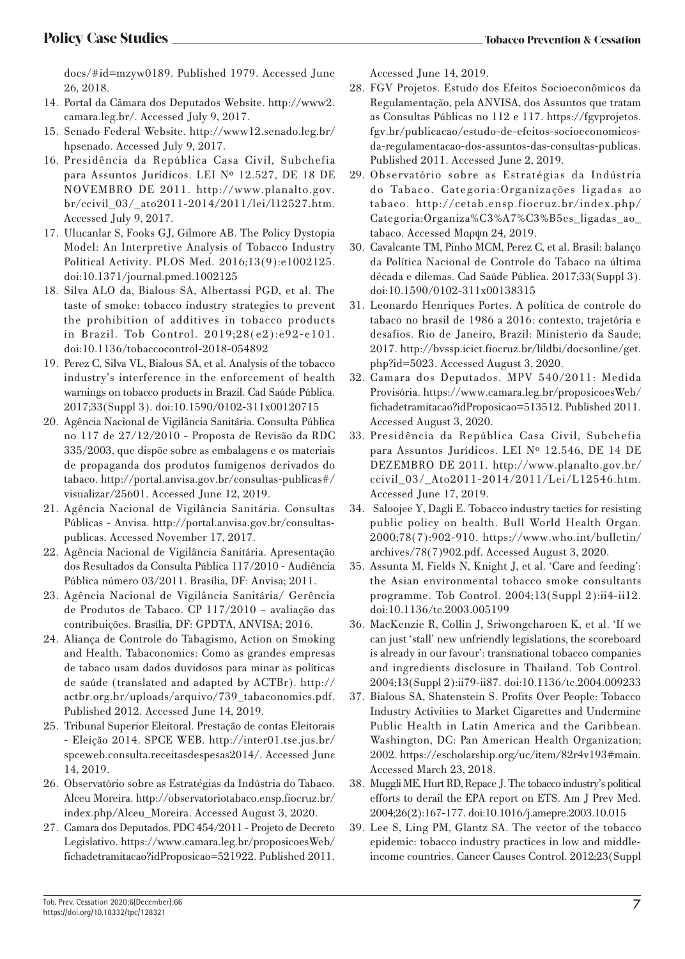docs/#id=mzyw0189. Published 1979. Accessed June 26, 2018.

- 14. Portal da Câmara dos Deputados Website. http://www2. camara.leg.br/. Accessed July 9, 2017.
- 15. Senado Federal Website. http://www12.senado.leg.br/ hpsenado. Accessed July 9, 2017.
- 16. Presidência da República Casa Civil, Subchefia para Assuntos Jurídicos. LEI Nº 12.527, DE 18 DE NOVEMBRO DE 2011. http://www.planalto.gov. br/ccivil\_03/\_ato2011-2014/2011/lei/l12527.htm. Accessed July 9, 2017.
- 17. Ulucanlar S, Fooks GJ, Gilmore AB. The Policy Dystopia Model: An Interpretive Analysis of Tobacco Industry Political Activity. PLOS Med. 2016;13(9):e1002125. doi:10.1371/journal.pmed.1002125
- 18. Silva ALO da, Bialous SA, Albertassi PGD, et al. The taste of smoke: tobacco industry strategies to prevent the prohibition of additives in tobacco products in Brazil. Tob Control. 2019;28(e2):e92-e101. doi:10.1136/tobaccocontrol-2018-054892
- 19. Perez C, Silva VL, Bialous SA, et al. Analysis of the tobacco industry's interference in the enforcement of health warnings on tobacco products in Brazil. Cad Saúde Pública. 2017;33(Suppl 3). doi:10.1590/0102-311x00120715
- 20. Agência Nacional de Vigilância Sanitária. Consulta Pública no 117 de 27/12/2010 - Proposta de Revisão da RDC 335/2003, que dispõe sobre as embalagens e os materiais de propaganda dos produtos fumígenos derivados do tabaco. http://portal.anvisa.gov.br/consultas-publicas#/ visualizar/25601. Accessed June 12, 2019.
- 21. Agência Nacional de Vigilância Sanitária. Consultas Públicas - Anvisa. http://portal.anvisa.gov.br/consultaspublicas. Accessed November 17, 2017.
- 22. Agência Nacional de Vigilância Sanitária. Apresentação dos Resultados da Consulta Pública 117/2010 - Audiência Pública número 03/2011. Brasília, DF: Anvisa; 2011.
- 23. Agência Nacional de Vigilância Sanitária/ Gerência de Produtos de Tabaco. CP 117/2010 – avaliação das contribuições. Brasília, DF: GPDTA, ANVISA; 2016.
- 24. Aliança de Controle do Tabagismo, Action on Smoking and Health. Tabaconomics: Como as grandes empresas de tabaco usam dados duvidosos para minar as políticas de saúde (translated and adapted by ACTBr). http:// actbr.org.br/uploads/arquivo/739\_tabaconomics.pdf. Published 2012. Accessed June 14, 2019.
- 25. Tribunal Superior Eleitoral. Prestação de contas Eleitorais - Eleição 2014. SPCE WEB. http://inter01.tse.jus.br/ spceweb.consulta.receitasdespesas2014/. Αccessed Junε 14, 2019.
- 26. Observatório sobre as Estratégias da Indústria do Tabaco. Alceu Moreira. http://observatoriotabaco.ensp.fiocruz.br/ index.php/Alceu\_Moreira. Αccessed August 3, 2020.
- 27. Camara dos Deputados. PDC 454/2011 Projeto de Decreto Legislativo. https://www.camara.leg.br/proposicoesWeb/ fichadetramitacao?idProposicao=521922. Published 2011.

Accessed June 14, 2019.

- 28. FGV Projetos. Estudo dos Efeitos Socioeconômicos da Regulamentação, pela ANVISA, dos Assuntos que tratam as Consultas Públicas no 112 e 117. https://fgvprojetos. fgv.br/publicacao/estudo-de-efeitos-socioeconomicosda-regulamentacao-dos-assuntos-das-consultas-publicas. Published 2011. Accessed June 2, 2019.
- 29. Observatório sobre as Estratégias da Indústria do Tabaco. Categoria:Organizações ligadas ao tabaco. http://cetab.ensp.fiocruz.br/index.php/ Categoria:Organiza%C3%A7%C3%B5es\_ligadas\_ao\_ tabaco. Αccessed Μαρψη 24, 2019.
- 30. Cavalcante TM, Pinho MCM, Perez C, et al. Brasil: balanço da Política Nacional de Controle do Tabaco na última década e dilemas. Cad Saúde Pública. 2017;33(Suppl 3). doi:10.1590/0102-311x00138315
- 31. Leonardo Henriques Portes. A política de controle do tabaco no brasil de 1986 a 2016: contexto, trajetória e desafios. Rio de Janeiro, Brazil: Ministerio da Saude; 2017. http://bvssp.icict.fiocruz.br/lildbi/docsonline/get. php?id=5023. Accessed August 3, 2020.
- 32. Camara dos Deputados. MPV 540/2011: Medida Provisória. https://www.camara.leg.br/proposicoesWeb/ fichadetramitacao?idProposicao=513512. Published 2011. Accessed August 3, 2020.
- 33. Presidência da República Casa Civil, Subchefia para Assuntos Jurídicos. LEI Nº 12.546, DE 14 DE DEZEMBRO DE 2011. http://www.planalto.gov.br/ ccivil\_03/\_Ato2011-2014/2011/Lei/L12546.htm. Accessed June 17, 2019.
- 34. Saloojee Y, Dagli E. Tobacco industry tactics for resisting public policy on health. Bull World Health Organ. 2000;78(7):902-910. https://www.who.int/bulletin/ archives/78(7)902.pdf. Accessed August 3, 2020.
- 35. Assunta M, Fields N, Knight J, et al. 'Care and feeding': the Asian environmental tobacco smoke consultants programme. Tob Control. 2004;13(Suppl 2):ii4-ii12. doi:10.1136/tc.2003.005199
- 36. MacKenzie R, Collin J, Sriwongcharoen K, et al. 'If we can just 'stall' new unfriendly legislations, the scoreboard is already in our favour': transnational tobacco companies and ingredients disclosure in Thailand. Tob Control. 2004;13(Suppl 2):ii79-ii87. doi:10.1136/tc.2004.009233
- 37. Bialous SA, Shatenstein S. Profits Over People: Tobacco Industry Activities to Market Cigarettes and Undermine Public Health in Latin America and the Caribbean. Washington, DC: Pan American Health Organization; 2002. https://escholarship.org/uc/item/82r4v193#main. Accessed March 23, 2018.
- 38. Muggli ME, Hurt RD, Repace J. The tobacco industry's political efforts to derail the EPA report on ETS. Am J Prev Med. 2004;26(2):167-177. doi:10.1016/j.amepre.2003.10.015
- 39. Lee S, Ling PM, Glantz SA. The vector of the tobacco epidemic: tobacco industry practices in low and middleincome countries. Cancer Causes Control. 2012;23(Suppl